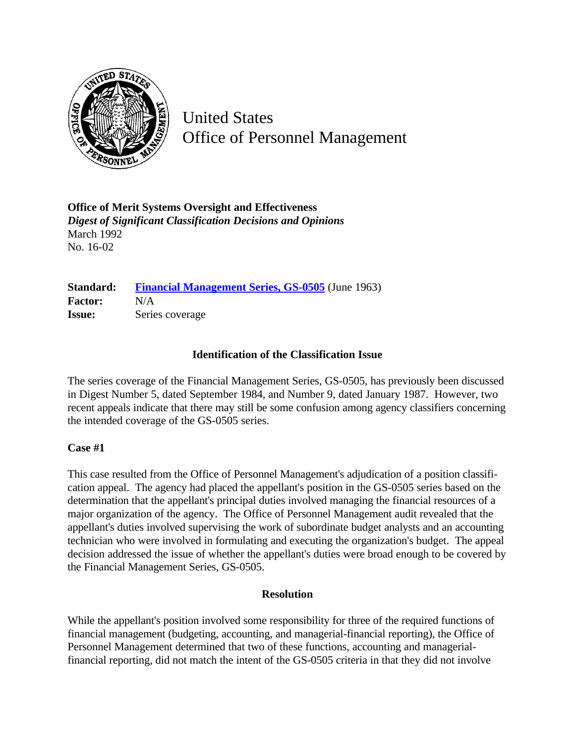

United States Office of Personnel Management

**Office of Merit Systems Oversight and Effectiveness** *Digest of Significant Classification Decisions and Opinions* March 1992 No. 16-02

**Standard:** [Financial Management Series, GS-0505](http://www.opm.gov/hr/fedclass/gs0505.pdf) (June 1963) **Factor:** N/A **Issue:** Series coverage

# **Identification of the Classification Issue**

The series coverage of the Financial Management Series, GS-0505, has previously been discussed in Digest Number 5, dated September 1984, and Number 9, dated January 1987. However, two recent appeals indicate that there may still be some confusion among agency classifiers concerning the intended coverage of the GS-0505 series.

## **Case #1**

This case resulted from the Office of Personnel Management's adjudication of a position classification appeal. The agency had placed the appellant's position in the GS-0505 series based on the determination that the appellant's principal duties involved managing the financial resources of a major organization of the agency. The Office of Personnel Management audit revealed that the appellant's duties involved supervising the work of subordinate budget analysts and an accounting technician who were involved in formulating and executing the organization's budget. The appeal decision addressed the issue of whether the appellant's duties were broad enough to be covered by the Financial Management Series, GS-0505.

## **Resolution**

While the appellant's position involved some responsibility for three of the required functions of financial management (budgeting, accounting, and managerial-financial reporting), the Office of Personnel Management determined that two of these functions, accounting and managerialfinancial reporting, did not match the intent of the GS-0505 criteria in that they did not involve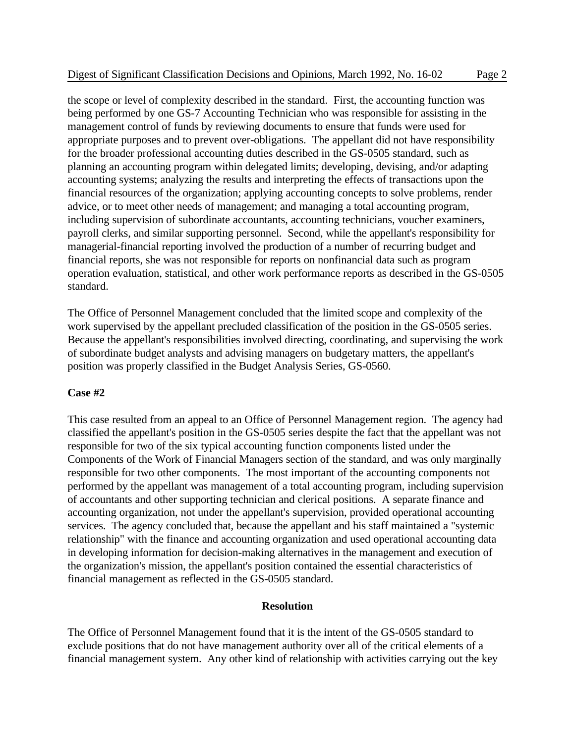the scope or level of complexity described in the standard. First, the accounting function was being performed by one GS-7 Accounting Technician who was responsible for assisting in the management control of funds by reviewing documents to ensure that funds were used for appropriate purposes and to prevent over-obligations. The appellant did not have responsibility for the broader professional accounting duties described in the GS-0505 standard, such as planning an accounting program within delegated limits; developing, devising, and/or adapting accounting systems; analyzing the results and interpreting the effects of transactions upon the financial resources of the organization; applying accounting concepts to solve problems, render advice, or to meet other needs of management; and managing a total accounting program, including supervision of subordinate accountants, accounting technicians, voucher examiners, payroll clerks, and similar supporting personnel.Second, while the appellant's responsibility for managerial-financial reporting involved the production of a number of recurring budget and financial reports, she was not responsible for reports on nonfinancial data such as program operation evaluation, statistical, and other work performance reports as described in the GS-0505 standard.

The Office of Personnel Management concluded that the limited scope and complexity of the work supervised by the appellant precluded classification of the position in the GS-0505 series. Because the appellant's responsibilities involved directing, coordinating, and supervising the work of subordinate budget analysts and advising managers on budgetary matters, the appellant's position was properly classified in the Budget Analysis Series, GS-0560.

## **Case #2**

This case resulted from an appeal to an Office of Personnel Management region. The agency had classified the appellant's position in the GS-0505 series despite the fact that the appellant was not responsible for two of the six typical accounting function components listed under the Components of the Work of Financial Managers section of the standard, and was only marginally responsible for two other components. The most important of the accounting components not performed by the appellant was management of a total accounting program, including supervision of accountants and other supporting technician and clerical positions. A separate finance and accounting organization, not under the appellant's supervision, provided operational accounting services. The agency concluded that, because the appellant and his staff maintained a "systemic relationship" with the finance and accounting organization and used operational accounting data in developing information for decision-making alternatives in the management and execution of the organization's mission, the appellant's position contained the essential characteristics of financial management as reflected in the GS-0505 standard.

## **Resolution**

The Office of Personnel Management found that it is the intent of the GS-0505 standard to exclude positions that do not have management authority over all of the critical elements of a financial management system. Any other kind of relationship with activities carrying out the key